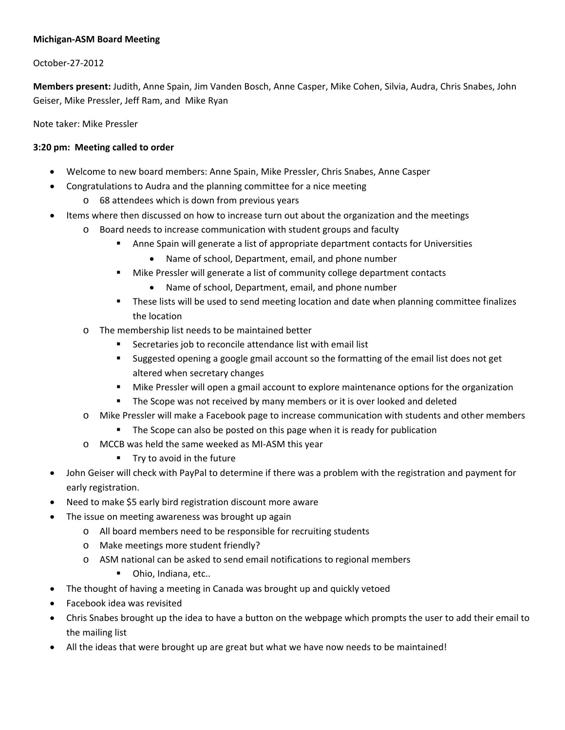## **Michigan‐ASM Board Meeting**

## October‐27‐2012

**Members present:** Judith, Anne Spain, Jim Vanden Bosch, Anne Casper, Mike Cohen, Silvia, Audra, Chris Snabes, John Geiser, Mike Pressler, Jeff Ram, and Mike Ryan

Note taker: Mike Pressler

## **3:20 pm: Meeting called to order**

- Welcome to new board members: Anne Spain, Mike Pressler, Chris Snabes, Anne Casper
- Congratulations to Audra and the planning committee for a nice meeting
	- o 68 attendees which is down from previous years
- Items where then discussed on how to increase turn out about the organization and the meetings
	- o Board needs to increase communication with student groups and faculty
		- Anne Spain will generate a list of appropriate department contacts for Universities
			- Name of school, Department, email, and phone number
		- **Mike Pressler will generate a list of community college department contacts** 
			- Name of school, Department, email, and phone number
		- These lists will be used to send meeting location and date when planning committee finalizes the location
	- o The membership list needs to be maintained better
		- Secretaries job to reconcile attendance list with email list
		- Suggested opening a google gmail account so the formatting of the email list does not get altered when secretary changes
		- Mike Pressler will open a gmail account to explore maintenance options for the organization
		- The Scope was not received by many members or it is over looked and deleted
	- o Mike Pressler will make a Facebook page to increase communication with students and other members
		- The Scope can also be posted on this page when it is ready for publication
	- o MCCB was held the same weeked as MI‐ASM this year
		- **Try to avoid in the future**
- John Geiser will check with PayPal to determine if there was a problem with the registration and payment for early registration.
- Need to make \$5 early bird registration discount more aware
- The issue on meeting awareness was brought up again
	- o All board members need to be responsible for recruiting students
	- o Make meetings more student friendly?
	- o ASM national can be asked to send email notifications to regional members
		- **Ohio, Indiana, etc..**
- The thought of having a meeting in Canada was brought up and quickly vetoed
- Facebook idea was revisited
- Chris Snabes brought up the idea to have a button on the webpage which prompts the user to add their email to the mailing list
- All the ideas that were brought up are great but what we have now needs to be maintained!